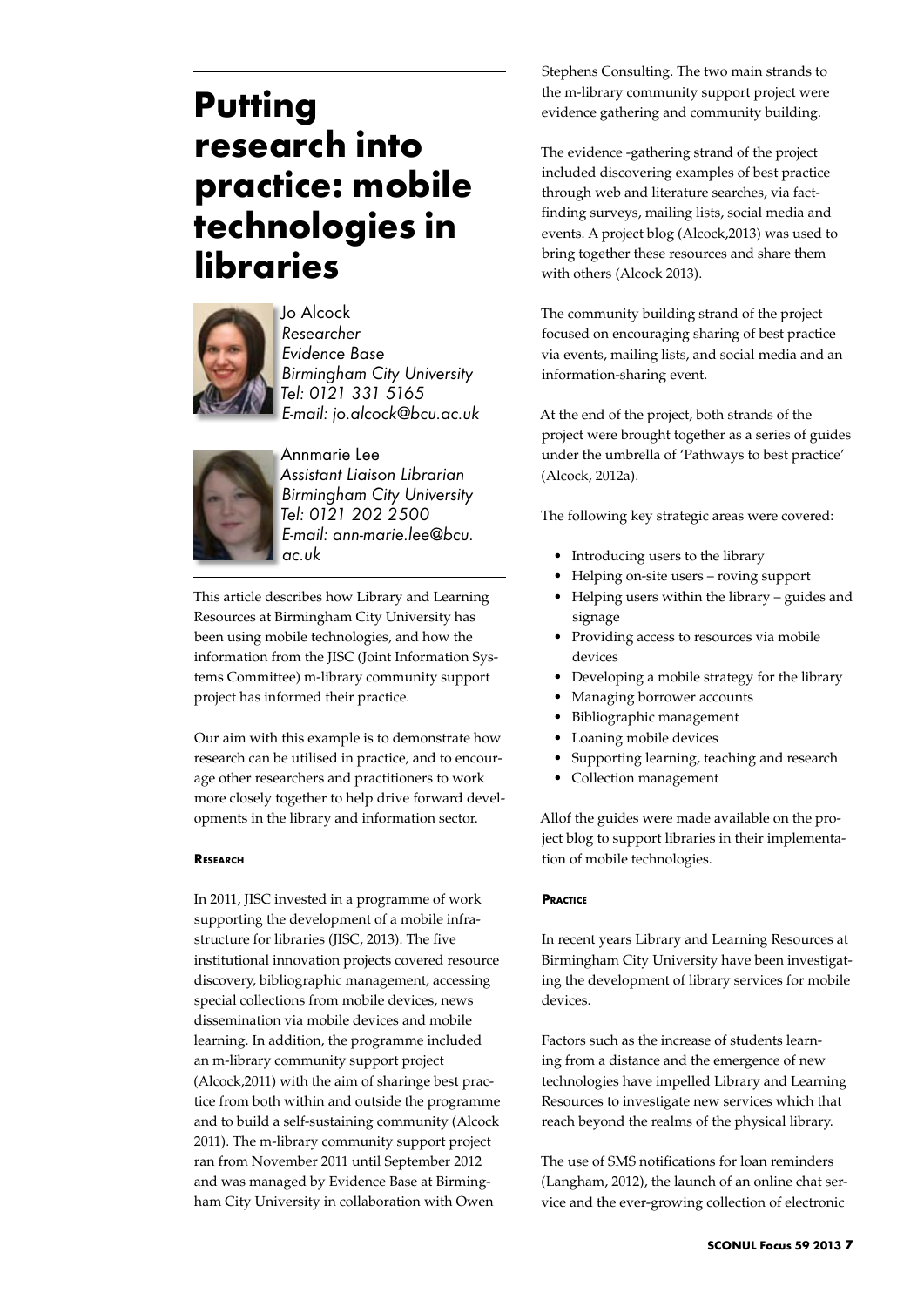# **Putting research into practice: mobile technologies in libraries**



Jo Alcock *Researcher Evidence Base Birmingham City University Tel: 0121 331 5165 E-mail: jo.alcock@bcu.ac.uk*



Annmarie Lee *Assistant Liaison Librarian Birmingham City University Tel: 0121 202 2500 E-mail: ann-marie.lee@bcu. ac.uk*

This article describes how Library and Learning Resources at Birmingham City University has been using mobile technologies, and how the information from the JISC (Joint Information Systems Committee) m-library community support project has informed their practice.

Our aim with this example is to demonstrate how research can be utilised in practice, and to encourage other researchers and practitioners to work more closely together to help drive forward developments in the library and information sector.

## **Research**

In 2011, JISC invested in a programme of work supporting the development of a mobile infrastructure for libraries (JISC, 2013). The five institutional innovation projects covered resource discovery, bibliographic management, accessing special collections from mobile devices, news dissemination via mobile devices and mobile learning. In addition, the programme included an m-library community support project (Alcock,2011) with the aim of sharinge best practice from both within and outside the programme and to build a self-sustaining community (Alcock 2011). The m-library community support project ran from November 2011 until September 2012 and was managed by Evidence Base at Birmingham City University in collaboration with Owen

Stephens Consulting. The two main strands to the m-library community support project were evidence gathering and community building.

The evidence -gathering strand of the project included discovering examples of best practice through web and literature searches, via factfinding surveys, mailing lists, social media and events. A project blog (Alcock,2013) was used to bring together these resources and share them with others (Alcock 2013).

The community building strand of the project focused on encouraging sharing of best practice via events, mailing lists, and social media and an information-sharing event.

At the end of the project, both strands of the project were brought together as a series of guides under the umbrella of 'Pathways to best practice' (Alcock, 2012a).

The following key strategic areas were covered:

- Introducing users to the library
- Helping on-site users roving support
- Helping users within the library guides and signage
- Providing access to resources via mobile devices
- Developing a mobile strategy for the library
- Managing borrower accounts
- Bibliographic management
- • Loaning mobile devices
- Supporting learning, teaching and research
- Collection management

Allof the guides were made available on the project blog to support libraries in their implementation of mobile technologies.

## **Practice**

In recent years Library and Learning Resources at Birmingham City University have been investigating the development of library services for mobile devices.

Factors such as the increase of students learning from a distance and the emergence of new technologies have impelled Library and Learning Resources to investigate new services which that reach beyond the realms of the physical library.

The use of SMS notifications for loan reminders (Langham, 2012), the launch of an online chat service and the ever-growing collection of electronic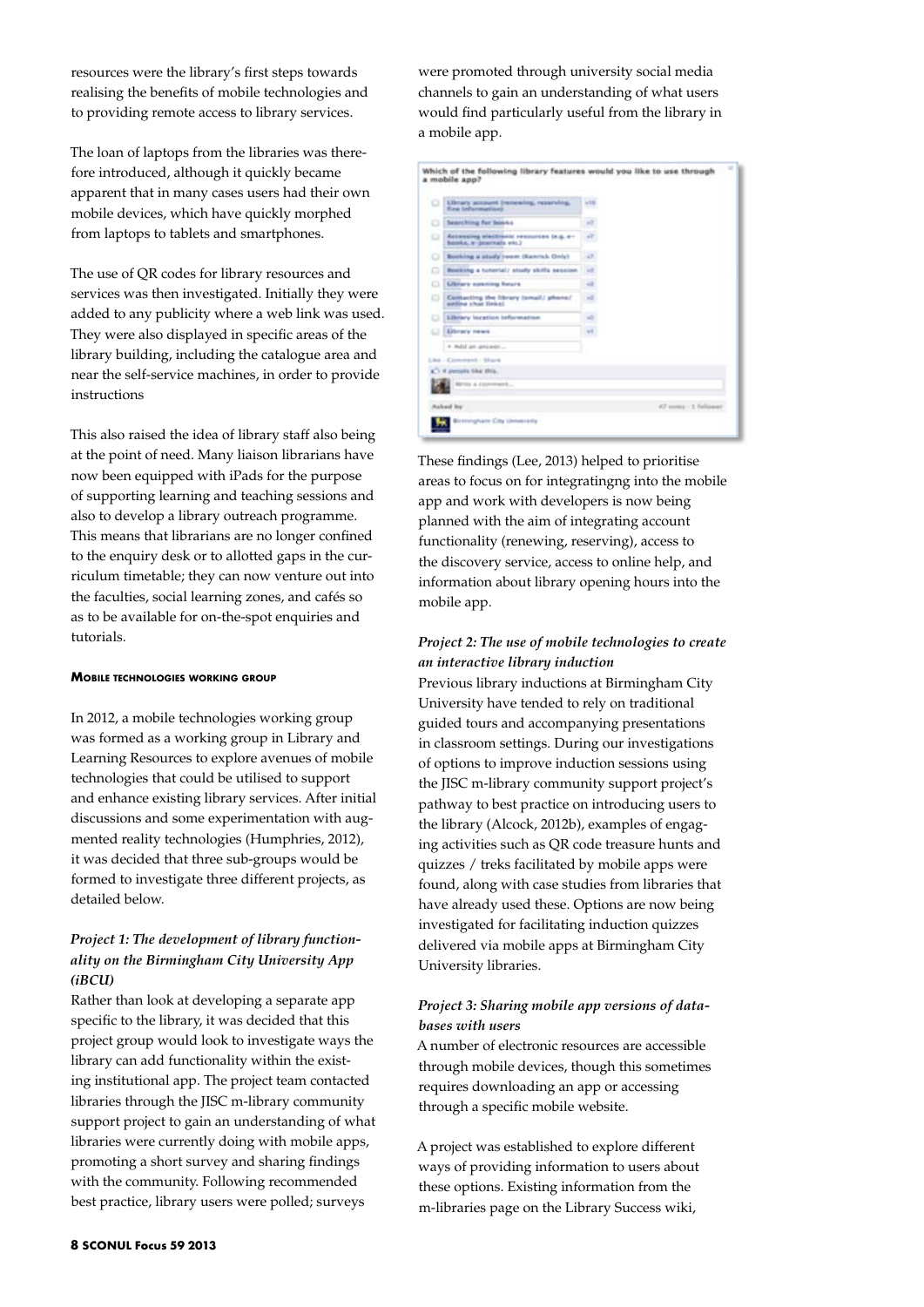resources were the library's first steps towards realising the benefits of mobile technologies and to providing remote access to library services.

The loan of laptops from the libraries was therefore introduced, although it quickly became apparent that in many cases users had their own mobile devices, which have quickly morphed from laptops to tablets and smartphones.

The use of QR codes for library resources and services was then investigated. Initially they were added to any publicity where a web link was used. They were also displayed in specific areas of the library building, including the catalogue area and near the self-service machines, in order to provide instructions

This also raised the idea of library staff also being at the point of need. Many liaison librarians have now been equipped with iPads for the purpose of supporting learning and teaching sessions and also to develop a library outreach programme. This means that librarians are no longer confined to the enquiry desk or to allotted gaps in the curriculum timetable; they can now venture out into the faculties, social learning zones, and cafés so as to be available for on-the-spot enquiries and tutorials.

#### **Mobile technologies working group**

In 2012, a mobile technologies working group was formed as a working group in Library and Learning Resources to explore avenues of mobile technologies that could be utilised to support and enhance existing library services. After initial discussions and some experimentation with augmented reality technologies (Humphries, 2012), it was decided that three sub-groups would be formed to investigate three different projects, as detailed below.

## *Project 1: The development of library functionality on the Birmingham City University App (iBCU)*

Rather than look at developing a separate app specific to the library, it was decided that this project group would look to investigate ways the library can add functionality within the existing institutional app. The project team contacted libraries through the JISC m-library community support project to gain an understanding of what libraries were currently doing with mobile apps, promoting a short survey and sharing findings with the community. Following recommended best practice, library users were polled; surveys

were promoted through university social media channels to gain an understanding of what users would find particularly useful from the library in a mobile app.

| o       | Library account frenewing, reserving,<br><b>Fine bidummetical</b>   | <b>ARE</b>            |
|---------|---------------------------------------------------------------------|-----------------------|
| ۰       | Searching for books.                                                | 48                    |
| o       | Accessing electricia: resources (e.g. e-<br>hosks, a pournals etc.) | H,                    |
| $\circ$ | Booking a study Juam (Kanrick Only)                                 | ville.                |
| $\Box$  | Booking a tutorial/ study skills session                            | $-1$                  |
| o       | <b>Library spening hears</b>                                        | oli i                 |
| $\circ$ | Contacting the library (small/ phone/<br>spelling clust timical     | $-1$                  |
| o       | Library incetion information                                        | w.<br>. .             |
| $\cup$  | Library news                                                        | HF.                   |
|         | · Add an arrower                                                    |                       |
|         | Like - Comment - Share                                              |                       |
|         | $g^2$ ) 4 passata like titis.                                       |                       |
|         | Militan & Licensenson,                                              |                       |
|         | Aubad Ity                                                           | 47 votes - 1 fullower |

These findings (Lee, 2013) helped to prioritise areas to focus on for integratingng into the mobile app and work with developers is now being planned with the aim of integrating account functionality (renewing, reserving), access to the discovery service, access to online help, and information about library opening hours into the mobile app.

## *Project 2: The use of mobile technologies to create an interactive library induction*

Previous library inductions at Birmingham City University have tended to rely on traditional guided tours and accompanying presentations in classroom settings. During our investigations of options to improve induction sessions using the JISC m-library community support project's pathway to best practice on introducing users to the library (Alcock, 2012b), examples of engaging activities such as QR code treasure hunts and quizzes / treks facilitated by mobile apps were found, along with case studies from libraries that have already used these. Options are now being investigated for facilitating induction quizzes delivered via mobile apps at Birmingham City University libraries.

## *Project 3: Sharing mobile app versions of databases with users*

A number of electronic resources are accessible through mobile devices, though this sometimes requires downloading an app or accessing through a specific mobile website.

A project was established to explore different ways of providing information to users about these options. Existing information from the m-libraries page on the Library Success wiki,